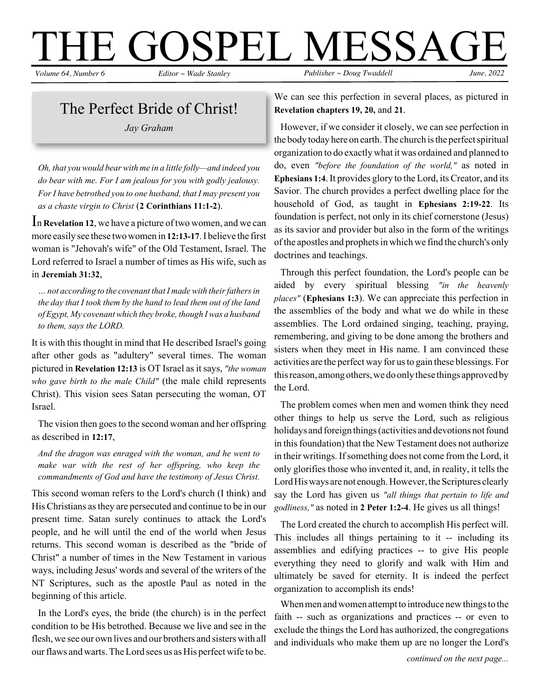# $\rm HE$   $\rm GOSPEL$   $\rm MESSAGE$ *Editor ~ Wade Stanley Publisher ~ Doug Twaddell June, 2022*

*Volume 64, Number 6*

### The Perfect Bride of Christ!

*Jay Graham*

*Oh, that you would bear with me in a little folly—and indeed you do bear with me. For I am jealous for you with godly jealousy. ForI have betrothed you to one husband, that I may present you as a chaste virgin to Christ* (**2 Corinthians 11:1-2**).

In **Revelation <sup>12</sup>**, we have <sup>a</sup> picture of two women, and we can more easily see these twowomen in **12:13-17**.I believe the first woman is "Jehovah's wife" of the Old Testament, Israel. The Lord referred to Israel a number of times as His wife, such as in **Jeremiah 31:32**,

*… not according to the covenant that I made with theirfathersin the day that I took them by the hand to lead them out of the land of Egypt, My covenantwhich they broke, though Iwas a husband to them, says the LORD.*

It is with this thought in mind that He described Israel's going after other gods as "adultery" several times. The woman pictured in **Revelation 12:13** is OT Israel as it says, *"the woman who gave birth to the male Child"* (the male child represents Christ). This vision sees Satan persecuting the woman, OT Israel.

The vision then goes to the second woman and her offspring as described in **12:17**,

*And the dragon was enraged with the woman, and he went to make war with the rest of her offspring, who keep the commandments of God and have the testimony of Jesus Christ.*

This second woman refers to the Lord's church (I think) and His Christians asthey are persecuted and continue to be in our present time. Satan surely continues to attack the Lord's people, and he will until the end of the world when Jesus returns. This second woman is described as the "bride of Christ" a number of times in the New Testament in various ways, including Jesus' words and several of the writers of the NT Scriptures, such as the apostle Paul as noted in the beginning of this article.

In the Lord's eyes, the bride (the church) is in the perfect condition to be His betrothed. Because we live and see in the flesh, we see our own lives and our brothers and sisters with all our flaws and warts. The Lord sees us as His perfect wife to be.

We can see this perfection in several places, as pictured in **Revelation chapters 19, 20,** and **21**.

However, if we consider it closely, we can see perfection in the body today here on earth. The church is the perfect spiritual organization to do exactly what it was ordained and planned to do, even *"before the foundation of the world,"* as noted in **Ephesians 1:4**.It provides glory to the Lord, itsCreator, and its Savior. The church provides a perfect dwelling place for the household of God, as taught in **Ephesians 2:19-22**. Its foundation is perfect, not only in its chief cornerstone (Jesus) as its savior and provider but also in the form of the writings ofthe apostles and prophetsin which we find the church's only doctrines and teachings.

Through this perfect foundation, the Lord's people can be aided by every spiritual blessing *"in the heavenly places"* (**Ephesians 1:3**). We can appreciate this perfection in the assemblies of the body and what we do while in these assemblies. The Lord ordained singing, teaching, praying, remembering, and giving to be done among the brothers and sisters when they meet in His name. I am convinced these activities are the perfect way for usto gain these blessings. For this reason, among others, we do only these things approved by the Lord.

The problem comes when men and women think they need other things to help us serve the Lord, such as religious holidays and foreign things (activities and devotions not found in this foundation) that the New Testament does not authorize in their writings. If something does not come from the Lord, it only glorifies those who invented it, and, in reality, it tells the Lord His ways are not enough. However, the Scriptures clearly say the Lord has given us *"all things that pertain to life and godliness,"* as noted in **2 Peter 1:2-4**. He gives us all things!

The Lord created the church to accomplish His perfect will. This includes all things pertaining to it -- including its assemblies and edifying practices -- to give His people everything they need to glorify and walk with Him and ultimately be saved for eternity. It is indeed the perfect organization to accomplish its ends!

When men and women attempt to introduce new things to the faith -- such as organizations and practices -- or even to exclude the things the Lord has authorized, the congregations and individuals who make them up are no longer the Lord's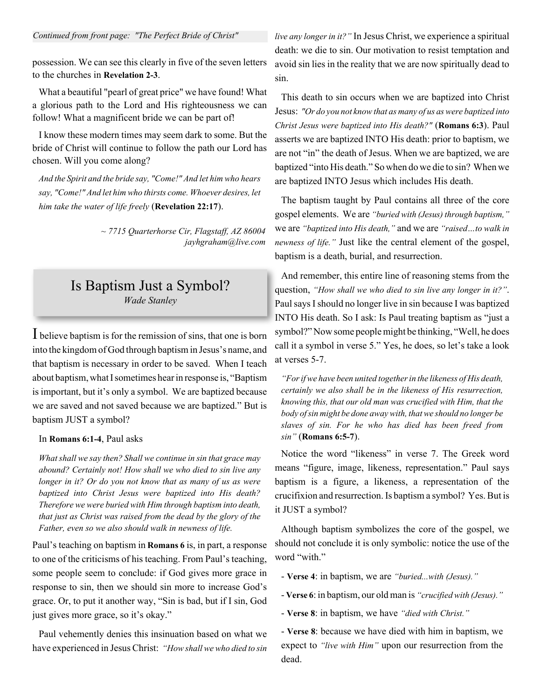#### *Continued from front page: "The Perfect Bride of Christ"*

possession. We can see this clearly in five of the seven letters to the churches in **Revelation 2-3**.

What a beautiful "pearl of great price" we have found! What a glorious path to the Lord and His righteousness we can follow! What a magnificent bride we can be part of!

I know these modern times may seem dark to some. But the bride of Christ will continue to follow the path our Lord has chosen. Will you come along?

*And the Spirit and the bride say, "Come!" And let him who hears say, "Come!" And let him who thirsts come. Whoever desires, let him take the water of life freely* (**Revelation 22:17**).

> ~ *7715 Quarterhorse Cir, Flagstaff, AZ 86004 jayhgraham@live.com*

### Is Baptism Just a Symbol? *Wade Stanley*

I believe baptism is for the remission of sins, that one is born into the kingdomof God through baptismin Jesus's name, and that baptism is necessary in order to be saved. When I teach about baptism, what I sometimes hear in response is, "Baptism is important, but it's only a symbol. We are baptized because we are saved and not saved because we are baptized." But is baptism JUST a symbol?

#### In **Romans 6:1-4**, Paul asks

*Whatshall we say then? Shall we continue in sin that grace may abound? Certainly not! How shall we who died to sin live any longer in it? Or do you not know that as many of us as were baptized into Christ Jesus were baptized into His death? Therefore we were buried with Him through baptism into death, that just as Christ was raised from the dead by the glory of the Father, even so we also should walk in newness of life.*

Paul's teaching on baptism in **Romans 6** is, in part, a response to one of the criticisms of his teaching. From Paul's teaching, some people seem to conclude: if God gives more grace in response to sin, then we should sin more to increase God's grace. Or, to put it another way, "Sin is bad, but if I sin, God just gives more grace, so it's okay."

Paul vehemently denies this insinuation based on what we have experienced in Jesus Christ: *"How shall we who died to sin*

*live any longer in it?"* In Jesus Christ, we experience a spiritual death: we die to sin. Our motivation to resist temptation and avoid sin lies in the reality that we are now spiritually dead to sin.

This death to sin occurs when we are baptized into Christ Jesus: *"Or do you not knowthat as many of us aswere baptized into Christ Jesus were baptized into His death?"* (**Romans 6:3**). Paul asserts we are baptized INTO His death: prior to baptism, we are not "in" the death of Jesus. When we are baptized, we are baptized "into His death." So when do we die to sin? When we are baptized INTO Jesus which includes His death.

The baptism taught by Paul contains all three of the core gospel elements. We are *"buried with (Jesus) through baptism,"* we are *"baptized into His death,"* and we are *"raised…to walk in newness of life."* Just like the central element of the gospel, baptism is a death, burial, and resurrection.

And remember, this entire line of reasoning stems from the question, *"How shall we who died to sin live any longer in it?"*. Paul says I should no longer live in sin because I was baptized INTO His death. So I ask: Is Paul treating baptism as "just a symbol?" Now some peoplemight be thinking, "Well, he does call it a symbol in verse 5." Yes, he does, so let's take a look at verses 5-7.

*"Forifwe have been united togetherin the likeness of His death, certainly we also shall be in the likeness of His resurrection, knowing this, that our old man was crucified with Him, that the body ofsin might be done awaywith, thatwe should no longer be slaves of sin. For he who has died has been freed from sin"* (**Romans 6:5-7**).

Notice the word "likeness" in verse 7. The Greek word means "figure, image, likeness, representation." Paul says baptism is a figure, a likeness, a representation of the crucifixion and resurrection.Is baptism a symbol? Yes.But is it JUST a symbol?

Although baptism symbolizes the core of the gospel, we should not conclude it is only symbolic: notice the use of the word "with."

- **Verse 4**: in baptism, we are *"buried...with (Jesus)."*
- **Verse 6**: in baptism, our old man is *"crucifiedwith (Jesus)."*
- **Verse 8**: in baptism, we have *"died with Christ."*

- **Verse 8**: because we have died with him in baptism, we expect to *"live with Him"* upon our resurrection from the dead.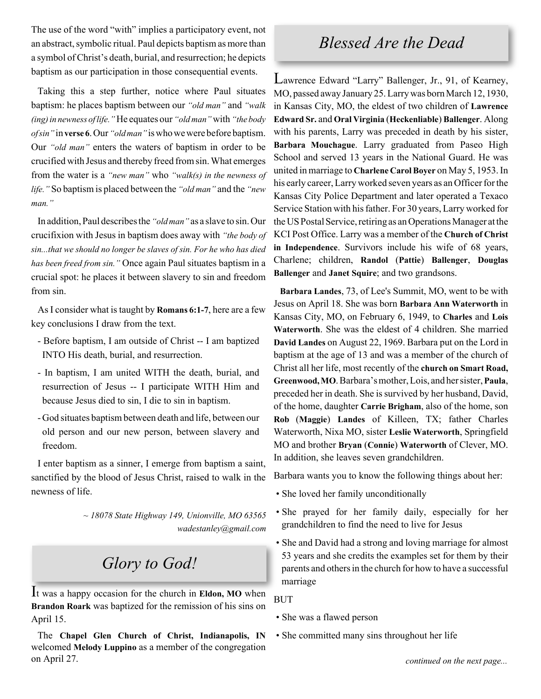The use of the word "with" implies a participatory event, not an abstract, symbolic ritual. Paul depicts baptism as more than a symbol ofChrist's death, burial, and resurrection; he depicts baptism as our participation in those consequential events.

Taking this a step further, notice where Paul situates baptism: he places baptism between our *"old man"* and *"walk (ing)in newness of life."*He equates our *"oldman"*with *"the body ofsin"*in **verse 6**.Our*"oldman"*iswhowewere before baptism. Our *"old man"* enters the waters of baptism in order to be crucified with Jesus and thereby freed fromsin.What emerges from the water is a *"new man"* who *"walk(s) in the newness of life."* So baptism is placed between the *"old man"* and the *"new man."*

In addition,Paul describesthe *"oldman"* as a slave to sin.Our crucifixion with Jesus in baptism does away with *"the body of sin...that we should no longer be slaves of sin. For he who has died has been freed from sin."* Once again Paul situates baptism in a crucial spot: he places it between slavery to sin and freedom from sin.

AsI consider what istaught by **Romans 6:1-7**, here are a few key conclusions I draw from the text.

- Before baptism, I am outside of Christ -- I am baptized INTO His death, burial, and resurrection.
- In baptism, I am united WITH the death, burial, and resurrection of Jesus -- I participate WITH Him and because Jesus died to sin, I die to sin in baptism.
- God situates baptism between death and life, between our old person and our new person, between slavery and freedom.

I enter baptism as a sinner, I emerge from baptism a saint, sanctified by the blood of Jesus Christ, raised to walk in the newness of life.

> *~ 18078 State Highway 149, Unionville, MO 63565 wadestanley@gmail.com*

## *Glory to God!*

It was <sup>a</sup> happy occasion for the church in **Eldon, MO** when **Brandon Roark** was baptized for the remission of his sins on April 15.

The **Chapel Glen Church of Christ, Indianapolis, IN** welcomed **Melody Luppino** as a member of the congregation on April 27.

### *Blessed Are the Dead*

Lawrence Edward "Larry" Ballenger, Jr., 91, of Kearney, MO, passed away January 25. Larry was born March 12, 1930, in Kansas City, MO, the eldest of two children of **Lawrence Edward Sr.** and **Oral Virginia** (**Heckenliable**) **Ballenger**. Along with his parents, Larry was preceded in death by his sister, **Barbara Mouchague**. Larry graduated from Paseo High School and served 13 years in the National Guard. He was united in marriage to **Charlene CarolBoyer** on May 5, 1953.In his early career, Larry worked seven years as an Officer for the Kansas City Police Department and later operated a Texaco Service Station with his father. For 30 years, Larry worked for the US Postal Service, retiring as an Operations Manager at the KCI Post Office. Larry was a member of the **Church of Christ in Independence**. Survivors include his wife of 68 years, Charlene; children, **Randol** (**Pattie**) **Ballenger**, **Douglas Ballenger** and **Janet Squire**; and two grandsons.

**Barbara Landes**, 73, of Lee's Summit, MO, went to be with Jesus on April 18. She was born **Barbara Ann Waterworth** in Kansas City, MO, on February 6, 1949, to **Charles** and **Lois Waterworth**. She was the eldest of 4 children. She married **David Landes** on August 22, 1969. Barbara put on the Lord in baptism at the age of 13 and was a member of the church of Christ all her life, most recently of the **church on Smart Road, Greenwood,MO**.Barbara'smother,Lois, and hersister,**Paula**, preceded her in death. She is survived by her husband, David, of the home, daughter **Carrie Brigham**, also of the home, son **Rob** (**Maggie**) **Landes** of Killeen, TX; father Charles Waterworth, Nixa MO, sister **Leslie Waterworth**, Springfield MO and brother **Bryan** (**Connie**) **Waterworth** of Clever, MO. In addition, she leaves seven grandchildren.

Barbara wants you to know the following things about her:

- She loved her family unconditionally
- She prayed for her family daily, especially for her grandchildren to find the need to live for Jesus
- She and David had a strong and loving marriage for almost 53 years and she credits the examples set for them by their parents and others in the church for how to have a successful marriage

BUT

- She was a flawed person
- She committed many sins throughout her life